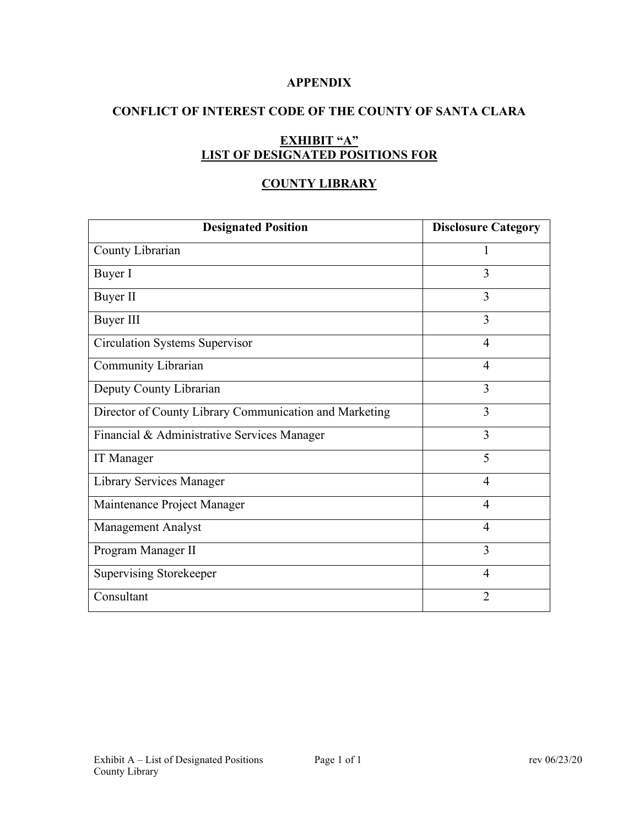### **APPENDIX**

# **CONFLICT OF INTEREST CODE OF THE COUNTY OF SANTA CLARA**

# **EXHIBIT "A" LIST OF DESIGNATED POSITIONS FOR**

## **COUNTY LIBRARY**

| <b>Designated Position</b>                             | <b>Disclosure Category</b> |
|--------------------------------------------------------|----------------------------|
| County Librarian                                       | 1                          |
| Buyer I                                                | 3                          |
| Buyer II                                               | 3                          |
| <b>Buyer III</b>                                       | 3                          |
| <b>Circulation Systems Supervisor</b>                  | $\overline{4}$             |
| Community Librarian                                    | $\overline{4}$             |
| Deputy County Librarian                                | 3                          |
| Director of County Library Communication and Marketing | 3                          |
| Financial & Administrative Services Manager            | 3                          |
| <b>IT</b> Manager                                      | 5                          |
| Library Services Manager                               | 4                          |
| Maintenance Project Manager                            | $\overline{4}$             |
| <b>Management Analyst</b>                              | $\overline{4}$             |
| Program Manager II                                     | 3                          |
| <b>Supervising Storekeeper</b>                         | 4                          |
| Consultant                                             | $\overline{2}$             |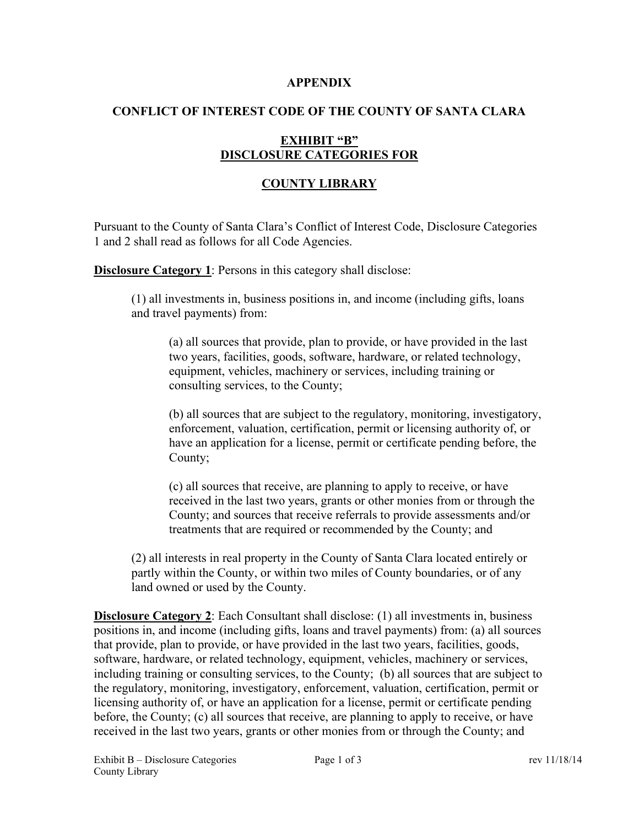#### **APPENDIX**

## **CONFLICT OF INTEREST CODE OF THE COUNTY OF SANTA CLARA**

# **EXHIBIT "B" DISCLOSURE CATEGORIES FOR**

## **COUNTY LIBRARY**

Pursuant to the County of Santa Clara's Conflict of Interest Code, Disclosure Categories 1 and 2 shall read as follows for all Code Agencies.

**Disclosure Category 1:** Persons in this category shall disclose:

(1) all investments in, business positions in, and income (including gifts, loans and travel payments) from:

(a) all sources that provide, plan to provide, or have provided in the last two years, facilities, goods, software, hardware, or related technology, equipment, vehicles, machinery or services, including training or consulting services, to the County;

(b) all sources that are subject to the regulatory, monitoring, investigatory, enforcement, valuation, certification, permit or licensing authority of, or have an application for a license, permit or certificate pending before, the County;

(c) all sources that receive, are planning to apply to receive, or have received in the last two years, grants or other monies from or through the County; and sources that receive referrals to provide assessments and/or treatments that are required or recommended by the County; and

(2) all interests in real property in the County of Santa Clara located entirely or partly within the County, or within two miles of County boundaries, or of any land owned or used by the County.

**Disclosure Category 2**: Each Consultant shall disclose: (1) all investments in, business positions in, and income (including gifts, loans and travel payments) from: (a) all sources that provide, plan to provide, or have provided in the last two years, facilities, goods, software, hardware, or related technology, equipment, vehicles, machinery or services, including training or consulting services, to the County; (b) all sources that are subject to the regulatory, monitoring, investigatory, enforcement, valuation, certification, permit or licensing authority of, or have an application for a license, permit or certificate pending before, the County; (c) all sources that receive, are planning to apply to receive, or have received in the last two years, grants or other monies from or through the County; and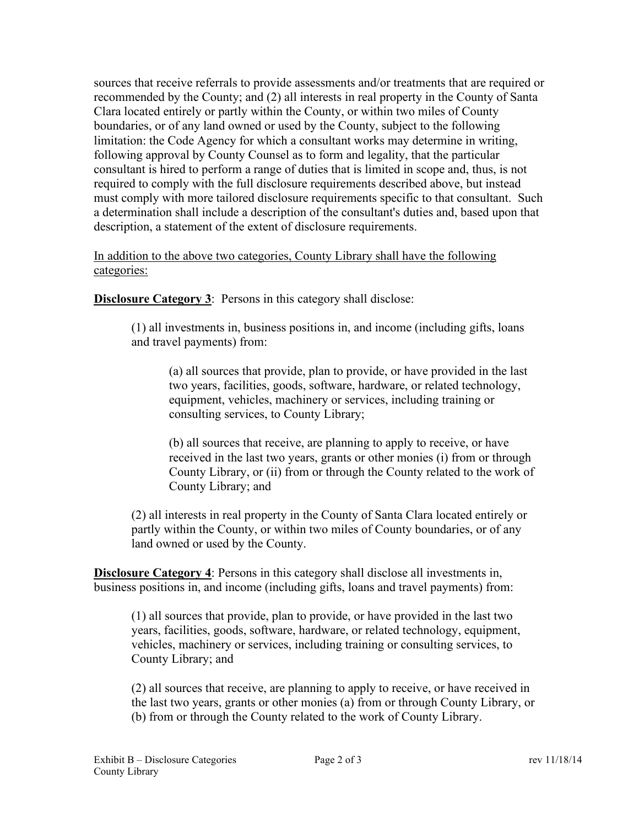sources that receive referrals to provide assessments and/or treatments that are required or recommended by the County; and (2) all interests in real property in the County of Santa Clara located entirely or partly within the County, or within two miles of County boundaries, or of any land owned or used by the County, subject to the following limitation: the Code Agency for which a consultant works may determine in writing, following approval by County Counsel as to form and legality, that the particular consultant is hired to perform a range of duties that is limited in scope and, thus, is not required to comply with the full disclosure requirements described above, but instead must comply with more tailored disclosure requirements specific to that consultant. Such a determination shall include a description of the consultant's duties and, based upon that description, a statement of the extent of disclosure requirements.

### In addition to the above two categories, County Library shall have the following categories:

**Disclosure Category 3:** Persons in this category shall disclose:

(1) all investments in, business positions in, and income (including gifts, loans and travel payments) from:

(a) all sources that provide, plan to provide, or have provided in the last two years, facilities, goods, software, hardware, or related technology, equipment, vehicles, machinery or services, including training or consulting services, to County Library;

(b) all sources that receive, are planning to apply to receive, or have received in the last two years, grants or other monies (i) from or through County Library, or (ii) from or through the County related to the work of County Library; and

(2) all interests in real property in the County of Santa Clara located entirely or partly within the County, or within two miles of County boundaries, or of any land owned or used by the County.

**Disclosure Category 4**: Persons in this category shall disclose all investments in, business positions in, and income (including gifts, loans and travel payments) from:

(1) all sources that provide, plan to provide, or have provided in the last two years, facilities, goods, software, hardware, or related technology, equipment, vehicles, machinery or services, including training or consulting services, to County Library; and

(2) all sources that receive, are planning to apply to receive, or have received in the last two years, grants or other monies (a) from or through County Library, or (b) from or through the County related to the work of County Library.